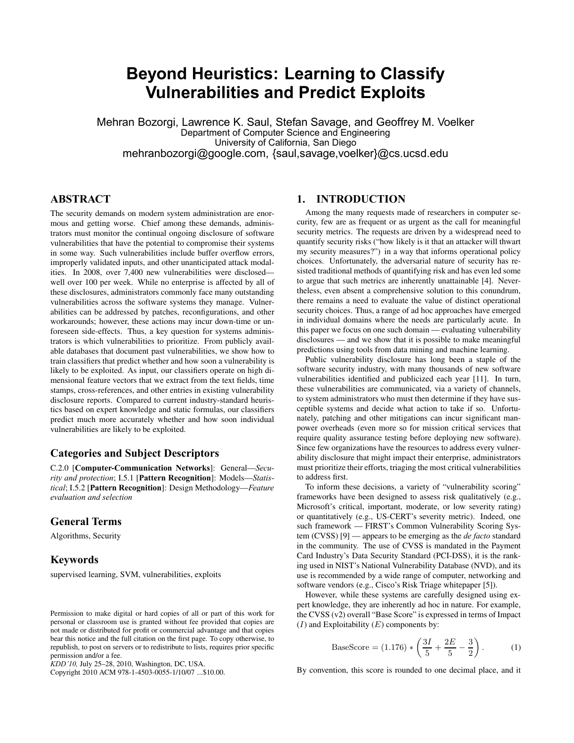# **Beyond Heuristics: Learning to Classify Vulnerabilities and Predict Exploits**

Mehran Bozorgi, Lawrence K. Saul, Stefan Savage, and Geoffrey M. Voelker Department of Computer Science and Engineering University of California, San Diego mehranbozorgi@google.com, {saul,savage,voelker}@cs.ucsd.edu

# **ABSTRACT**

The security demands on modern system administration are enormous and getting worse. Chief among these demands, administrators must monitor the continual ongoing disclosure of software vulnerabilities that have the potential to compromise their systems in some way. Such vulnerabilities include buffer overflow errors, improperly validated inputs, and other unanticipated attack modalities. In 2008, over 7,400 new vulnerabilities were disclosed well over 100 per week. While no enterprise is affected by all of these disclosures, administrators commonly face many outstanding vulnerabilities across the software systems they manage. Vulnerabilities can be addressed by patches, reconfigurations, and other workarounds; however, these actions may incur down-time or unforeseen side-effects. Thus, a key question for systems administrators is which vulnerabilities to prioritize. From publicly available databases that document past vulnerabilities, we show how to train classifiers that predict whether and how soon a vulnerability is likely to be exploited. As input, our classifiers operate on high dimensional feature vectors that we extract from the text fields, time stamps, cross-references, and other entries in existing vulnerability disclosure reports. Compared to current industry-standard heuristics based on expert knowledge and static formulas, our classifiers predict much more accurately whether and how soon individual vulnerabilities are likely to be exploited.

# **Categories and Subject Descriptors**

C.2.0 [**Computer-Communication Networks**]: General—*Security and protection*; I.5.1 [**Pattern Recognition**]: Models—*Statistical*; I.5.2 [**Pattern Recognition**]: Design Methodology—*Feature evaluation and selection*

### **General Terms**

Algorithms, Security

# **Keywords**

supervised learning, SVM, vulnerabilities, exploits

Copyright 2010 ACM 978-1-4503-0055-1/10/07 ...\$10.00.

# **1. INTRODUCTION**

Among the many requests made of researchers in computer security, few are as frequent or as urgent as the call for meaningful security metrics. The requests are driven by a widespread need to quantify security risks ("how likely is it that an attacker will thwart my security measures?") in a way that informs operational policy choices. Unfortunately, the adversarial nature of security has resisted traditional methods of quantifying risk and has even led some to argue that such metrics are inherently unattainable [4]. Nevertheless, even absent a comprehensive solution to this conundrum, there remains a need to evaluate the value of distinct operational security choices. Thus, a range of ad hoc approaches have emerged in individual domains where the needs are particularly acute. In this paper we focus on one such domain — evaluating vulnerability disclosures — and we show that it is possible to make meaningful predictions using tools from data mining and machine learning.

Public vulnerability disclosure has long been a staple of the software security industry, with many thousands of new software vulnerabilities identified and publicized each year [11]. In turn, these vulnerabilities are communicated, via a variety of channels, to system administrators who must then determine if they have susceptible systems and decide what action to take if so. Unfortunately, patching and other mitigations can incur significant manpower overheads (even more so for mission critical services that require quality assurance testing before deploying new software). Since few organizations have the resources to address every vulnerability disclosure that might impact their enterprise, administrators must prioritize their efforts, triaging the most critical vulnerabilities to address first.

To inform these decisions, a variety of "vulnerability scoring" frameworks have been designed to assess risk qualitatively (e.g., Microsoft's critical, important, moderate, or low severity rating) or quantitatively (e.g., US-CERT's severity metric). Indeed, one such framework — FIRST's Common Vulnerability Scoring System (CVSS) [9] — appears to be emerging as the *de facto* standard in the community. The use of CVSS is mandated in the Payment Card Industry's Data Security Standard (PCI-DSS), it is the ranking used in NIST's National Vulnerability Database (NVD), and its use is recommended by a wide range of computer, networking and software vendors (e.g., Cisco's Risk Triage whitepaper [5]).

However, while these systems are carefully designed using expert knowledge, they are inherently ad hoc in nature. For example, the CVSS (v2) overall "Base Score" is expressed in terms of Impact ( $I$ ) and Exploitability ( $E$ ) components by:

BaseScore = 
$$
(1.176) * \left(\frac{3I}{5} + \frac{2E}{5} - \frac{3}{2}\right)
$$
. (1)

By convention, this score is rounded to one decimal place, and it

Permission to make digital or hard copies of all or part of this work for personal or classroom use is granted without fee provided that copies are not made or distributed for profit or commercial advantage and that copies bear this notice and the full citation on the first page. To copy otherwise, to republish, to post on servers or to redistribute to lists, requires prior specific permission and/or a fee.

*KDD'10,* July 25–28, 2010, Washington, DC, USA.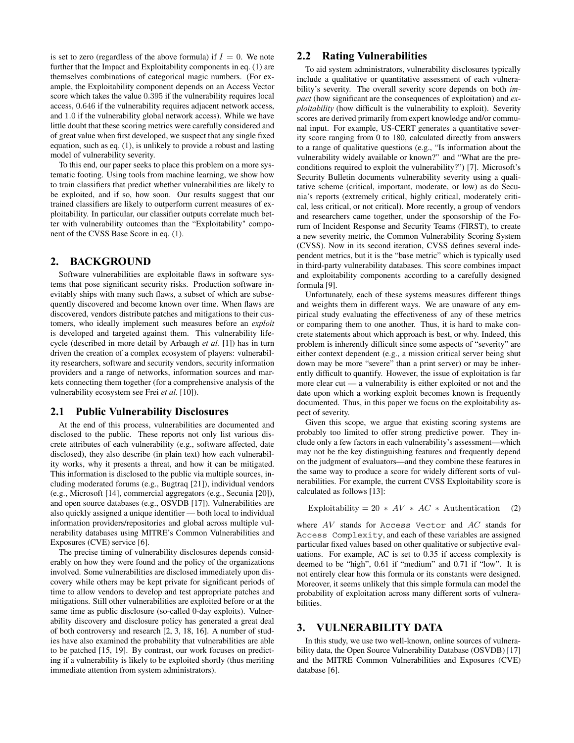is set to zero (regardless of the above formula) if  $I = 0$ . We note further that the Impact and Exploitability components in eq. (1) are themselves combinations of categorical magic numbers. (For example, the Exploitability component depends on an Access Vector score which takes the value 0.395 if the vulnerability requires local access, 0.646 if the vulnerability requires adjacent network access, and 1.0 if the vulnerability global network access). While we have little doubt that these scoring metrics were carefully considered and of great value when first developed, we suspect that any single fixed equation, such as eq. (1), is unlikely to provide a robust and lasting model of vulnerability severity.

To this end, our paper seeks to place this problem on a more systematic footing. Using tools from machine learning, we show how to train classifiers that predict whether vulnerabilities are likely to be exploited, and if so, how soon. Our results suggest that our trained classifiers are likely to outperform current measures of exploitability. In particular, our classifier outputs correlate much better with vulnerability outcomes than the "Exploitability" component of the CVSS Base Score in eq. (1).

#### **2. BACKGROUND**

Software vulnerabilities are exploitable flaws in software systems that pose significant security risks. Production software inevitably ships with many such flaws, a subset of which are subsequently discovered and become known over time. When flaws are discovered, vendors distribute patches and mitigations to their customers, who ideally implement such measures before an *exploit* is developed and targeted against them. This vulnerability lifecycle (described in more detail by Arbaugh *et al.* [1]) has in turn driven the creation of a complex ecosystem of players: vulnerability researchers, software and security vendors, security information providers and a range of networks, information sources and markets connecting them together (for a comprehensive analysis of the vulnerability ecosystem see Frei *et al.* [10]).

#### **2.1 Public Vulnerability Disclosures**

At the end of this process, vulnerabilities are documented and disclosed to the public. These reports not only list various discrete attributes of each vulnerability (e.g., software affected, date disclosed), they also describe (in plain text) how each vulnerability works, why it presents a threat, and how it can be mitigated. This information is disclosed to the public via multiple sources, including moderated forums (e.g., Bugtraq [21]), individual vendors (e.g., Microsoft [14], commercial aggregators (e.g., Secunia [20]), and open source databases (e.g., OSVDB [17]). Vulnerabilities are also quickly assigned a unique identifier — both local to individual information providers/repositories and global across multiple vulnerability databases using MITRE's Common Vulnerabilities and Exposures (CVE) service [6].

The precise timing of vulnerability disclosures depends considerably on how they were found and the policy of the organizations involved. Some vulnerabilities are disclosed immediately upon discovery while others may be kept private for significant periods of time to allow vendors to develop and test appropriate patches and mitigations. Still other vulnerabilities are exploited before or at the same time as public disclosure (so-called 0-day exploits). Vulnerability discovery and disclosure policy has generated a great deal of both controversy and research [2, 3, 18, 16]. A number of studies have also examined the probability that vulnerabilities are able to be patched [15, 19]. By contrast, our work focuses on predicting if a vulnerability is likely to be exploited shortly (thus meriting immediate attention from system administrators).

# **2.2 Rating Vulnerabilities**

To aid system administrators, vulnerability disclosures typically include a qualitative or quantitative assessment of each vulnerability's severity. The overall severity score depends on both *impact* (how significant are the consequences of exploitation) and *exploitability* (how difficult is the vulnerability to exploit). Severity scores are derived primarily from expert knowledge and/or communal input. For example, US-CERT generates a quantitative severity score ranging from 0 to 180, calculated directly from answers to a range of qualitative questions (e.g., "Is information about the vulnerability widely available or known?" and "What are the preconditions required to exploit the vulnerability?") [7]. Microsoft's Security Bulletin documents vulnerability severity using a qualitative scheme (critical, important, moderate, or low) as do Secunia's reports (extremely critical, highly critical, moderately critical, less critical, or not critical). More recently, a group of vendors and researchers came together, under the sponsorship of the Forum of Incident Response and Security Teams (FIRST), to create a new severity metric, the Common Vulnerability Scoring System (CVSS). Now in its second iteration, CVSS defines several independent metrics, but it is the "base metric" which is typically used in third-party vulnerability databases. This score combines impact and exploitability components according to a carefully designed formula [9].

Unfortunately, each of these systems measures different things and weights them in different ways. We are unaware of any empirical study evaluating the effectiveness of any of these metrics or comparing them to one another. Thus, it is hard to make concrete statements about which approach is best, or why. Indeed, this problem is inherently difficult since some aspects of "severity" are either context dependent (e.g., a mission critical server being shut down may be more "severe" than a print server) or may be inherently difficult to quantify. However, the issue of exploitation is far more clear cut — a vulnerability is either exploited or not and the date upon which a working exploit becomes known is frequently documented. Thus, in this paper we focus on the exploitability aspect of severity.

Given this scope, we argue that existing scoring systems are probably too limited to offer strong predictive power. They include only a few factors in each vulnerability's assessment—which may not be the key distinguishing features and frequently depend on the judgment of evaluators—and they combine these features in the same way to produce a score for widely different sorts of vulnerabilities. For example, the current CVSS Exploitability score is calculated as follows [13]:

Exploitability = 20  $*$  AV  $*$  AC  $*$  Authentication (2)

where AV stands for Access Vector and AC stands for Access Complexity, and each of these variables are assigned particular fixed values based on other qualitative or subjective evaluations. For example, AC is set to 0.35 if access complexity is deemed to be "high", 0.61 if "medium" and 0.71 if "low". It is not entirely clear how this formula or its constants were designed. Moreover, it seems unlikely that this simple formula can model the probability of exploitation across many different sorts of vulnerabilities.

#### **3. VULNERABILITY DATA**

In this study, we use two well-known, online sources of vulnerability data, the Open Source Vulnerability Database (OSVDB) [17] and the MITRE Common Vulnerabilities and Exposures (CVE) database [6].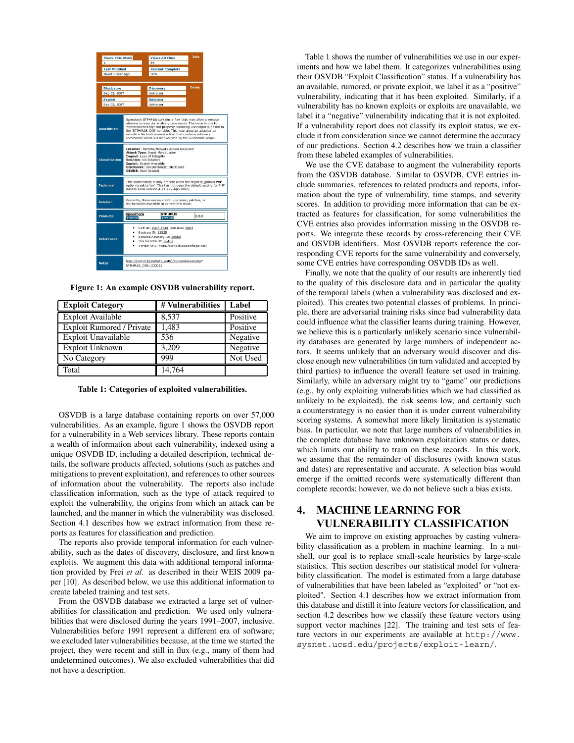| <b>Views This Week</b><br>ŧ<br><b>Last Modified</b><br>about 1 year ago<br><b>Disclosure</b><br>Sep 03, 2007 |                                                                                                                                                                                                                                                           | <b>Views All Time</b><br>44<br><b>Percent Complete</b><br>90%<br><b>Discovery</b><br>Unknown                                                                                                                                                                                                                                                                                             | Info<br><b>Dates</b> |  |
|--------------------------------------------------------------------------------------------------------------|-----------------------------------------------------------------------------------------------------------------------------------------------------------------------------------------------------------------------------------------------------------|------------------------------------------------------------------------------------------------------------------------------------------------------------------------------------------------------------------------------------------------------------------------------------------------------------------------------------------------------------------------------------------|----------------------|--|
| <b>Exploit</b><br>Sep 03, 2007                                                                               |                                                                                                                                                                                                                                                           | <b>Solution</b><br>Unknown                                                                                                                                                                                                                                                                                                                                                               |                      |  |
| <b>Description</b>                                                                                           |                                                                                                                                                                                                                                                           | Speedtech STPHPLib contains a flaw that may allow a remote<br>attacker to execute arbitrary commands. The issue is due to<br>'stphptablecell.php' not properly sanitizing user input supplied to<br>the 'STPHPLIB DIR' variable. This may allow an attacker to<br>include a file from a remote host that contains arbitrary<br>commands which will be executed by the vulnerable script. |                      |  |
| <b>Classification</b>                                                                                        | Location: Remote/Network Access Required<br><b>Attack Type: Input Manipulation</b><br>Impact: Loss of Integrity<br>Solution: No Solution<br><b>Exploit:</b> Exploit Available<br><b>Disclosure:</b> Uncoordinated Disclosure<br><b>OSVDB: Web Related</b> |                                                                                                                                                                                                                                                                                                                                                                                          |                      |  |
| <b>Technical</b>                                                                                             | This vulnerability is only present when the register globals PHP<br>option is set to 'on'. This has not been the default setting for PHP<br>installs since version 4.2.0 (22-Apr-2002).                                                                   |                                                                                                                                                                                                                                                                                                                                                                                          |                      |  |
| <b>Solution</b>                                                                                              |                                                                                                                                                                                                                                                           | Currently, there are no known upgrades, patches, or<br>workarounds available to correct this issue.                                                                                                                                                                                                                                                                                      |                      |  |
| <b>Products</b>                                                                                              | <b>SpeedTech</b><br><b>+ WATCH</b>                                                                                                                                                                                                                        | <b>STPHPLib</b><br>+ WATCH                                                                                                                                                                                                                                                                                                                                                               | n.a.n                |  |
| References                                                                                                   | $\bullet$                                                                                                                                                                                                                                                 | CVE ID: 2007-4738 (see also: NVD)<br>Bugtrag ID: 25525<br>Secunia Advisory ID: 26658<br>ISS X-Force ID: 36417<br>Vendor URL: http://stphplib.sourceforge.net/                                                                                                                                                                                                                            |                      |  |
| <b>Notes</b>                                                                                                 | STPHPLIB DIR=[CODE]                                                                                                                                                                                                                                       | http://[victim]/[stphplib_path]/stphptablecell.php?                                                                                                                                                                                                                                                                                                                                      |                      |  |

**Figure 1: An example OSVDB vulnerability report.**

| <b>Exploit Category</b>          | # Vulnerabilities | Label    |
|----------------------------------|-------------------|----------|
| Exploit Available                | 8,537             | Positive |
| <b>Exploit Rumored / Private</b> | 1,483             | Positive |
| Exploit Unavailable              | 536               | Negative |
| Exploit Unknown                  | 3,209             | Negative |
| No Category                      | 999               | Not Used |
| Total                            | 14.764            |          |

**Table 1: Categories of exploited vulnerabilities.**

OSVDB is a large database containing reports on over 57,000 vulnerabilities. As an example, figure 1 shows the OSVDB report for a vulnerability in a Web services library. These reports contain a wealth of information about each vulnerability, indexed using a unique OSVDB ID, including a detailed description, technical details, the software products affected, solutions (such as patches and mitigations to prevent exploitation), and references to other sources of information about the vulnerability. The reports also include classification information, such as the type of attack required to exploit the vulnerability, the origins from which an attack can be launched, and the manner in which the vulnerability was disclosed. Section 4.1 describes how we extract information from these reports as features for classification and prediction.

The reports also provide temporal information for each vulnerability, such as the dates of discovery, disclosure, and first known exploits. We augment this data with additional temporal information provided by Frei *et al.* as described in their WEIS 2009 paper [10]. As described below, we use this additional information to create labeled training and test sets.

From the OSVDB database we extracted a large set of vulnerabilities for classification and prediction. We used only vulnerabilities that were disclosed during the years 1991–2007, inclusive. Vulnerabilities before 1991 represent a different era of software; we excluded later vulnerabilities because, at the time we started the project, they were recent and still in flux (e.g., many of them had undetermined outcomes). We also excluded vulnerabilities that did not have a description.

Table 1 shows the number of vulnerabilities we use in our experiments and how we label them. It categorizes vulnerabilities using their OSVDB "Exploit Classification" status. If a vulnerability has an available, rumored, or private exploit, we label it as a "positive" vulnerability, indicating that it has been exploited. Similarly, if a vulnerability has no known exploits or exploits are unavailable, we label it a "negative" vulnerability indicating that it is not exploited. If a vulnerability report does not classify its exploit status, we exclude it from consideration since we cannot determine the accuracy of our predictions. Section 4.2 describes how we train a classifier from these labeled examples of vulnerabilities.

We use the CVE database to augment the vulnerability reports from the OSVDB database. Similar to OSVDB, CVE entries include summaries, references to related products and reports, information about the type of vulnerability, time stamps, and severity scores. In addition to providing more information that can be extracted as features for classification, for some vulnerabilities the CVE entries also provides information missing in the OSVDB reports. We integrate these records by cross-referencing their CVE and OSVDB identifiers. Most OSVDB reports reference the corresponding CVE reports for the same vulnerability and conversely, some CVE entries have corresponding OSVDB IDs as well.

Finally, we note that the quality of our results are inherently tied to the quality of this disclosure data and in particular the quality of the temporal labels (when a vulnerability was disclosed and exploited). This creates two potential classes of problems. In principle, there are adversarial training risks since bad vulnerability data could influence what the classifier learns during training. However, we believe this is a particularly unlikely scenario since vulnerability databases are generated by large numbers of independent actors. It seems unlikely that an adversary would discover and disclose enough new vulnerabilities (in turn validated and accepted by third parties) to influence the overall feature set used in training. Similarly, while an adversary might try to "game" our predictions (e.g., by only exploiting vulnerabilities which we had classified as unlikely to be exploited), the risk seems low, and certainly such a counterstrategy is no easier than it is under current vulnerability scoring systems. A somewhat more likely limitation is systematic bias. In particular, we note that large numbers of vulnerabilities in the complete database have unknown exploitation status or dates, which limits our ability to train on these records. In this work, we assume that the remainder of disclosures (with known status and dates) are representative and accurate. A selection bias would emerge if the omitted records were systematically different than complete records; however, we do not believe such a bias exists.

# **4. MACHINE LEARNING FOR VULNERABILITY CLASSIFICATION**

We aim to improve on existing approaches by casting vulnerability classification as a problem in machine learning. In a nutshell, our goal is to replace small-scale heuristics by large-scale statistics. This section describes our statistical model for vulnerability classification. The model is estimated from a large database of vulnerabilities that have been labeled as "exploited" or "not exploited". Section 4.1 describes how we extract information from this database and distill it into feature vectors for classification, and section 4.2 describes how we classify these feature vectors using support vector machines [22]. The training and test sets of feature vectors in our experiments are available at http://www. sysnet.ucsd.edu/projects/exploit-learn/.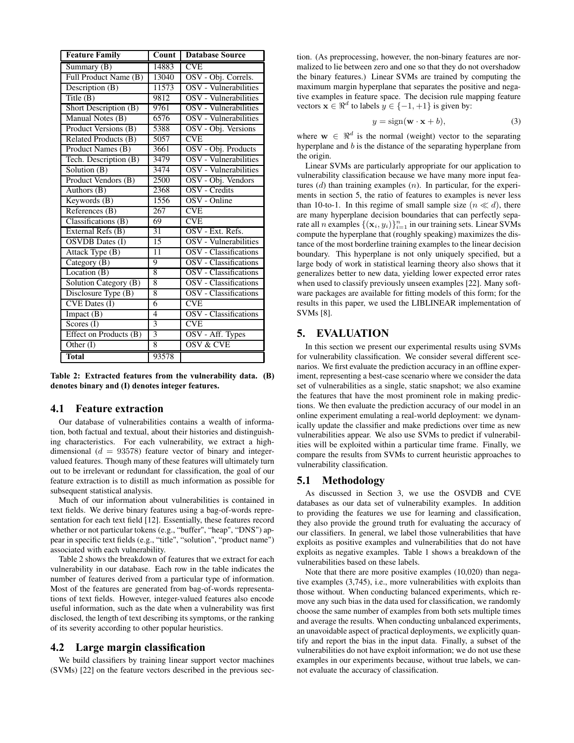| <b>Feature Family</b>           | Count           | <b>Database Source</b>       |  |
|---------------------------------|-----------------|------------------------------|--|
| Summary (B)                     | 14883           | <b>CVE</b>                   |  |
| Full Product Name (B)           | 13040           | OSV - Obj. Correls.          |  |
| Description (B)                 | 11573           | OSV - Vulnerabilities        |  |
| Title $(B)$                     | 9812            | OSV - Vulnerabilities        |  |
| Short Description (B)           | 9761            | OSV - Vulnerabilities        |  |
| Manual Notes (B)                | 6576            | <b>OSV</b> - Vulnerabilities |  |
| Product Versions (B)            | 5388            | OSV - Obj. Versions          |  |
| Related Products (B)            | 5057            | CVE                          |  |
| Product Names (B)               | 3661            | OSV - Obj. Products          |  |
| Tech. Description (B)           | 3479            | OSV - Vulnerabilities        |  |
| Solution (B)                    | 3474            | <b>OSV</b> - Vulnerabilities |  |
| Product Vendors (B)             | 2500            | OSV - Obj. Vendors           |  |
| Authors (B)                     | 2368            | OSV - Credits                |  |
| Keywords (B)                    | 1556            | OSV - Online                 |  |
| References (B)                  | 267             | <b>CVE</b>                   |  |
| Classifications (B)             | 69              | CVE                          |  |
| External Refs (B)               | 31              | OSV - Ext. Refs.             |  |
| <b>OSVDB</b> Dates (I)          | 15              | OSV - Vulnerabilities        |  |
| Attack Type (B)                 | $\overline{11}$ | OSV - Classifications        |  |
| $\overline{\text{Category}}(B)$ | 9               | <b>OSV</b> - Classifications |  |
| Location $(B)$                  | 8               | OSV - Classifications        |  |
| Solution Category (B)           | 8               | <b>OSV</b> - Classifications |  |
| Disclosure Type (B)             | 8               | OSV - Classifications        |  |
| $CVE$ Dates $(I)$               | 6               | <b>CVE</b>                   |  |
| Impact $(B)$                    | 4               | <b>OSV</b> - Classifications |  |
| $Scores$ (I)                    | $\overline{3}$  | $\overline{\text{CVE}}$      |  |
| Effect on Products (B)          | $\overline{3}$  | OSV - Aff. Types             |  |
| Other <sub>(I)</sub>            | 8               | OSV & CVE                    |  |
| <b>Total</b>                    | 93578           |                              |  |

**Table 2: Extracted features from the vulnerability data. (B) denotes binary and (I) denotes integer features.**

# **4.1 Feature extraction**

Our database of vulnerabilities contains a wealth of information, both factual and textual, about their histories and distinguishing characteristics. For each vulnerability, we extract a highdimensional ( $d = 93578$ ) feature vector of binary and integervalued features. Though many of these features will ultimately turn out to be irrelevant or redundant for classification, the goal of our feature extraction is to distill as much information as possible for subsequent statistical analysis.

Much of our information about vulnerabilities is contained in text fields. We derive binary features using a bag-of-words representation for each text field [12]. Essentially, these features record whether or not particular tokens (e.g., "buffer", "heap", "DNS") appear in specific text fields (e.g., "title", "solution", "product name") associated with each vulnerability.

Table 2 shows the breakdown of features that we extract for each vulnerability in our database. Each row in the table indicates the number of features derived from a particular type of information. Most of the features are generated from bag-of-words representations of text fields. However, integer-valued features also encode useful information, such as the date when a vulnerability was first disclosed, the length of text describing its symptoms, or the ranking of its severity according to other popular heuristics.

#### **4.2 Large margin classification**

We build classifiers by training linear support vector machines (SVMs) [22] on the feature vectors described in the previous section. (As preprocessing, however, the non-binary features are normalized to lie between zero and one so that they do not overshadow the binary features.) Linear SVMs are trained by computing the maximum margin hyperplane that separates the positive and negative examples in feature space. The decision rule mapping feature vectors  $\mathbf{x} \in \mathbb{R}^d$  to labels  $y \in \{-1, +1\}$  is given by:

$$
y = sign(\mathbf{w} \cdot \mathbf{x} + b),\tag{3}
$$

where  $\mathbf{w} \in \mathbb{R}^d$  is the normal (weight) vector to the separating hyperplane and b is the distance of the separating hyperplane from the origin.

Linear SVMs are particularly appropriate for our application to vulnerability classification because we have many more input features  $(d)$  than training examples  $(n)$ . In particular, for the experiments in section 5, the ratio of features to examples is never less than 10-to-1. In this regime of small sample size  $(n \ll d)$ , there are many hyperplane decision boundaries that can perfectly separate all *n* examples  $\{(\mathbf{x}_i, y_i)\}_{i=1}^n$  in our training sets. Linear SVMs compute the hyperplane that (roughly speaking) maximizes the distance of the most borderline training examples to the linear decision boundary. This hyperplane is not only uniquely specified, but a large body of work in statistical learning theory also shows that it generalizes better to new data, yielding lower expected error rates when used to classify previously unseen examples [22]. Many software packages are available for fitting models of this form; for the results in this paper, we used the LIBLINEAR implementation of SVMs [8].

# **5. EVALUATION**

In this section we present our experimental results using SVMs for vulnerability classification. We consider several different scenarios. We first evaluate the prediction accuracy in an offline experiment, representing a best-case scenario where we consider the data set of vulnerabilities as a single, static snapshot; we also examine the features that have the most prominent role in making predictions. We then evaluate the prediction accuracy of our model in an online experiment emulating a real-world deployment: we dynamically update the classifier and make predictions over time as new vulnerabilities appear. We also use SVMs to predict if vulnerabilities will be exploited within a particular time frame. Finally, we compare the results from SVMs to current heuristic approaches to vulnerability classification.

# **5.1 Methodology**

As discussed in Section 3, we use the OSVDB and CVE databases as our data set of vulnerability examples. In addition to providing the features we use for learning and classification, they also provide the ground truth for evaluating the accuracy of our classifiers. In general, we label those vulnerabilities that have exploits as positive examples and vulnerabilities that do not have exploits as negative examples. Table 1 shows a breakdown of the vulnerabilities based on these labels.

Note that there are more positive examples (10,020) than negative examples (3,745), i.e., more vulnerabilities with exploits than those without. When conducting balanced experiments, which remove any such bias in the data used for classification, we randomly choose the same number of examples from both sets multiple times and average the results. When conducting unbalanced experiments, an unavoidable aspect of practical deployments, we explicitly quantify and report the bias in the input data. Finally, a subset of the vulnerabilities do not have exploit information; we do not use these examples in our experiments because, without true labels, we cannot evaluate the accuracy of classification.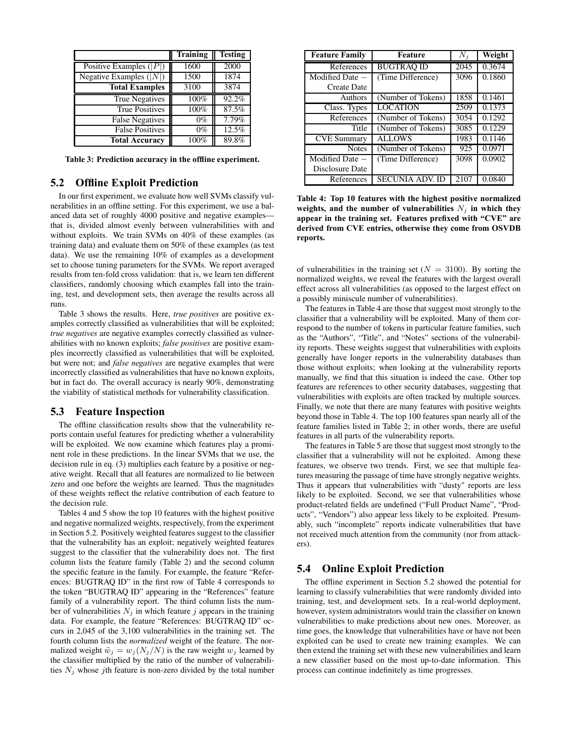|                           | Training | <b>Testing</b> |
|---------------------------|----------|----------------|
| Positive Examples $( P )$ | 1600     | 2000           |
| Negative Examples $( N )$ | 1500     | 1874           |
| <b>Total Examples</b>     | 3100     | 3874           |
| <b>True Negatives</b>     | 100%     | 92.2%          |
| True Positives            | 100%     | 87.5%          |
| <b>False Negatives</b>    | $0\%$    | 7.79%          |
| <b>False Positives</b>    | $0\%$    | 12.5%          |
| <b>Total Accuracy</b>     | 100%     | 89.8%          |

**Table 3: Prediction accuracy in the offline experiment.**

#### **5.2 Offline Exploit Prediction**

In our first experiment, we evaluate how well SVMs classify vulnerabilities in an offline setting. For this experiment, we use a balanced data set of roughly 4000 positive and negative examples that is, divided almost evenly between vulnerabilities with and without exploits. We train SVMs on 40% of these examples (as training data) and evaluate them on 50% of these examples (as test data). We use the remaining 10% of examples as a development set to choose tuning parameters for the SVMs. We report averaged results from ten-fold cross validation: that is, we learn ten different classifiers, randomly choosing which examples fall into the training, test, and development sets, then average the results across all runs.

Table 3 shows the results. Here, *true positives* are positive examples correctly classified as vulnerabilities that will be exploited; *true negatives* are negative examples correctly classified as vulnerabilities with no known exploits; *false positives* are positive examples incorrectly classified as vulnerabilities that will be exploited, but were not; and *false negatives* are negative examples that were incorrectly classified as vulnerabilities that have no known exploits, but in fact do. The overall accuracy is nearly 90%, demonstrating the viability of statistical methods for vulnerability classification.

#### **5.3 Feature Inspection**

The offline classification results show that the vulnerability reports contain useful features for predicting whether a vulnerability will be exploited. We now examine which features play a prominent role in these predictions. In the linear SVMs that we use, the decision rule in eq. (3) multiplies each feature by a positive or negative weight. Recall that all features are normalized to lie between zero and one before the weights are learned. Thus the magnitudes of these weights reflect the relative contribution of each feature to the decision rule.

Tables 4 and 5 show the top 10 features with the highest positive and negative normalized weights, respectively, from the experiment in Section 5.2. Positively weighted features suggest to the classifier that the vulnerability has an exploit; negatively weighted features suggest to the classifier that the vulnerability does not. The first column lists the feature family (Table 2) and the second column the specific feature in the family. For example, the feature "References: BUGTRAQ ID" in the first row of Table 4 corresponds to the token "BUGTRAQ ID" appearing in the "References" feature family of a vulnerability report. The third column lists the number of vulnerabilities  $N_i$  in which feature j appears in the training data. For example, the feature "References: BUGTRAQ ID" occurs in 2,045 of the 3,100 vulnerabilities in the training set. The fourth column lists the *normalized* weight of the feature. The normalized weight  $\tilde{w}_j = w_j (N_j/N)$  is the raw weight  $w_j$  learned by the classifier multiplied by the ratio of the number of vulnerabilities  $N_i$  whose jth feature is non-zero divided by the total number

| <b>Feature Family</b> | Feature                | $N_i$ | Weight |
|-----------------------|------------------------|-------|--------|
| References            | <b>BUGTRAO ID</b>      | 2045  | 0.3674 |
| Modified Date $-$     | (Time Difference)      | 3096  | 0.1860 |
| <b>Create Date</b>    |                        |       |        |
| <b>Authors</b>        | (Number of Tokens)     | 1858  | 0.1461 |
| Class. Types          | <b>LOCATION</b>        | 2509  | 0.1373 |
| References            | (Number of Tokens)     | 3054  | 0.1292 |
| Title                 | (Number of Tokens)     | 3085  | 0.1229 |
| <b>CVE Summary</b>    | <b>ALLOWS</b>          | 1983  | 0.1146 |
| <b>Notes</b>          | (Number of Tokens)     | 925   | 0.0971 |
| Modified Date -       | (Time Difference)      | 3098  | 0.0902 |
| Disclosure Date       |                        |       |        |
| References            | <b>SECUNIA ADV. ID</b> | 2107  | 0.0840 |

**Table 4: Top 10 features with the highest positive normalized** weights, and the number of vulnerabilities  $N_i$  in which they **appear in the training set. Features prefixed with "CVE" are derived from CVE entries, otherwise they come from OSVDB reports.**

of vulnerabilities in the training set ( $N = 3100$ ). By sorting the normalized weights, we reveal the features with the largest overall effect across all vulnerabilities (as opposed to the largest effect on a possibly miniscule number of vulnerabilities).

The features in Table 4 are those that suggest most strongly to the classifier that a vulnerability will be exploited. Many of them correspond to the number of tokens in particular feature families, such as the "Authors", "Title", and "Notes" sections of the vulnerability reports. These weights suggest that vulnerabilities with exploits generally have longer reports in the vulnerability databases than those without exploits; when looking at the vulnerability reports manually, we find that this situation is indeed the case. Other top features are references to other security databases, suggesting that vulnerabilities with exploits are often tracked by multiple sources. Finally, we note that there are many features with positive weights beyond those in Table 4. The top 100 features span nearly all of the feature families listed in Table 2; in other words, there are useful features in all parts of the vulnerability reports.

The features in Table 5 are those that suggest most strongly to the classifier that a vulnerability will not be exploited. Among these features, we observe two trends. First, we see that multiple features measuring the passage of time have strongly negative weights. Thus it appears that vulnerabilities with "dusty" reports are less likely to be exploited. Second, we see that vulnerabilities whose product-related fields are undefined ("Full Product Name", "Products", "Vendors") also appear less likely to be exploited. Presumably, such "incomplete" reports indicate vulnerabilities that have not received much attention from the community (nor from attackers).

#### **5.4 Online Exploit Prediction**

The offline experiment in Section 5.2 showed the potential for learning to classify vulnerabilities that were randomly divided into training, test, and development sets. In a real-world deployment, however, system administrators would train the classifier on known vulnerabilities to make predictions about new ones. Moreover, as time goes, the knowledge that vulnerabilities have or have not been exploited can be used to create new training examples. We can then extend the training set with these new vulnerabilities and learn a new classifier based on the most up-to-date information. This process can continue indefinitely as time progresses.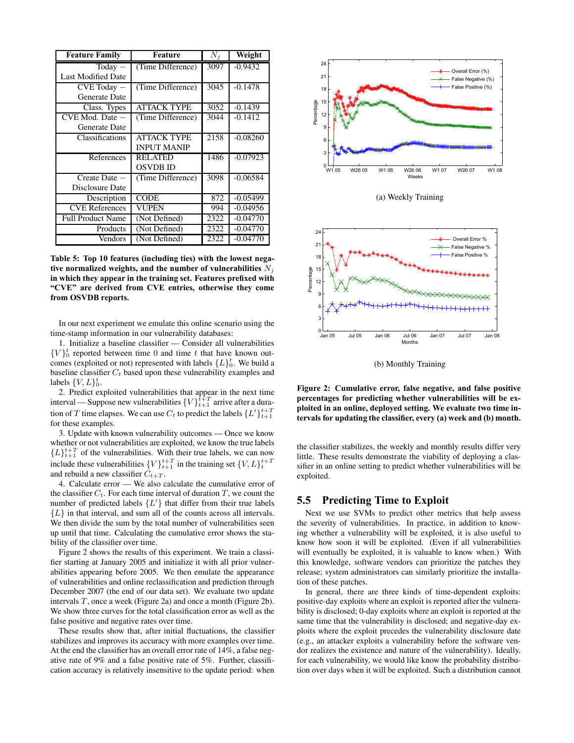| <b>Feature Family</b>     | Feature            | $\overline{N}_i$ | Weight     |
|---------------------------|--------------------|------------------|------------|
| Today $-$                 | (Time Difference)  | 3097             | $-0.9432$  |
| <b>Last Modified Date</b> |                    |                  |            |
| $CVE$ Today $-$           | (Time Difference)  | 3045             | $-0.1478$  |
| Generate Date             |                    |                  |            |
| Class. Types              | <b>ATTACK TYPE</b> | 3052             | $-0.1439$  |
| CVE Mod. Date -           | (Time Difference)  | 3044             | $-0.1412$  |
| Generate Date             |                    |                  |            |
| Classifications           | <b>ATTACK TYPE</b> | 2158             | $-0.08260$ |
|                           | <b>INPUT MANIP</b> |                  |            |
| References                | <b>RELATED</b>     | 1486             | $-0.07923$ |
|                           | <b>OSVDB ID</b>    |                  |            |
| Create Date $-$           | (Time Difference)  | 3098             | $-0.06584$ |
| Disclosure Date           |                    |                  |            |
| Description               | <b>CODE</b>        | 872              | $-0.05499$ |
| <b>CVE References</b>     | <b>VUPEN</b>       | 994              | $-0.04956$ |
| <b>Full Product Name</b>  | (Not Defined)      | 2322             | $-0.04770$ |
| Products                  | (Not Defined)      | 2322             | $-0.04770$ |
| Vendors                   | (Not Defined)      | 2322             | $-0.04770$ |

**Table 5: Top 10 features (including ties) with the lowest negative normalized weights, and the number of vulnerabilities** N<sup>j</sup> **in which they appear in the training set. Features prefixed with "CVE" are derived from CVE entries, otherwise they come from OSVDB reports.**

In our next experiment we emulate this online scenario using the time-stamp information in our vulnerability databases:

1. Initialize a baseline classifier — Consider all vulnerabilities  ${V}^{t}_{0}$  reported between time 0 and time t that have known outcomes (exploited or not) represented with labels  $\{L\}_0^t$ . We build a baseline classifier  $C_t$  based upon these vulnerability examples and labels  $\{V, L\}_0^t$ .

2. Predict exploited vulnerabilities that appear in the next time interval — Suppose new vulnerabilities  $\{V\}_{t+1}^{\tilde{t}+T}$  arrive after a duration of T time elapses. We can use  $C_t$  to predict the labels  $\{L'\}_{t+1}^{t+T}$ for these examples.

3. Update with known vulnerability outcomes — Once we know whether or not vulnerabilities are exploited, we know the true labels  ${L}_{t+1}^{t+T}$  of the vulnerabilities. With their true labels, we can now include these vulnerabilities  $\{V\}_{t+1}^{t+T}$  in the training set  $\{V, L\}_{t}^{t+T}$ and rebuild a new classifier  $C_{t+T}$ .

4. Calculate error — We also calculate the cumulative error of the classifier  $C_t$ . For each time interval of duration T, we count the number of predicted labels  $\{L'\}$  that differ from their true labels  ${L}$  in that interval, and sum all of the counts across all intervals. We then divide the sum by the total number of vulnerabilities seen up until that time. Calculating the cumulative error shows the stability of the classifier over time.

Figure 2 shows the results of this experiment. We train a classifier starting at January 2005 and initialize it with all prior vulnerabilities appearing before 2005. We then emulate the appearance of vulnerabilities and online reclassification and prediction through December 2007 (the end of our data set). We evaluate two update intervals T, once a week (Figure 2a) and once a month (Figure 2b). We show three curves for the total classification error as well as the false positive and negative rates over time.

These results show that, after initial fluctuations, the classifier stabilizes and improves its accuracy with more examples over time. At the end the classifier has an overall error rate of 14%, a false negative rate of 9% and a false positive rate of 5%. Further, classification accuracy is relatively insensitive to the update period: when



(a) Weekly Training



(b) Monthly Training

**Figure 2: Cumulative error, false negative, and false positive percentages for predicting whether vulnerabilities will be exploited in an online, deployed setting. We evaluate two time intervals for updating the classifier, every (a) week and (b) month.**

the classifier stabilizes, the weekly and monthly results differ very little. These results demonstrate the viability of deploying a classifier in an online setting to predict whether vulnerabilities will be exploited.

# **5.5 Predicting Time to Exploit**

Next we use SVMs to predict other metrics that help assess the severity of vulnerabilities. In practice, in addition to knowing whether a vulnerability will be exploited, it is also useful to know how soon it will be exploited. (Even if all vulnerabilities will eventually be exploited, it is valuable to know when.) With this knowledge, software vendors can prioritize the patches they release; system administrators can similarly prioritize the installation of these patches.

In general, there are three kinds of time-dependent exploits: positive-day exploits where an exploit is reported after the vulnerability is disclosed; 0-day exploits where an exploit is reported at the same time that the vulnerability is disclosed; and negative-day exploits where the exploit precedes the vulnerability disclosure date (e.g., an attacker exploits a vulnerability before the software vendor realizes the existence and nature of the vulnerability). Ideally, for each vulnerability, we would like know the probability distribution over days when it will be exploited. Such a distribution cannot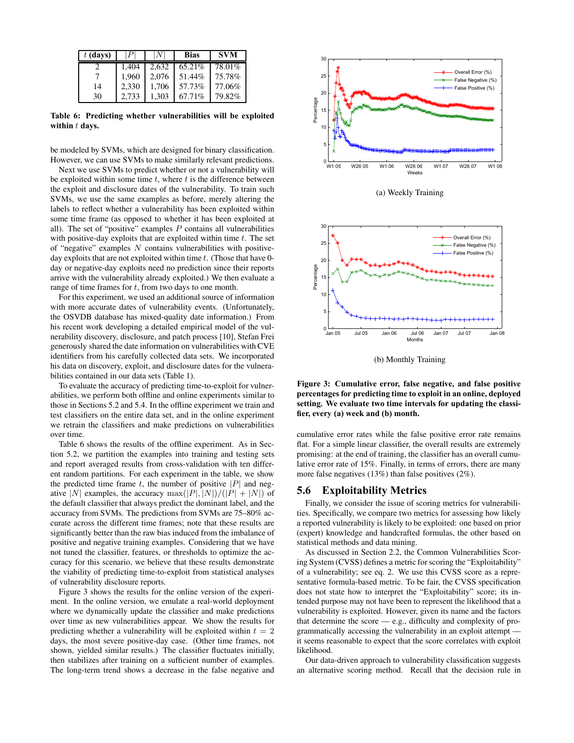| $t$ (days) |       |       | <b>Bias</b> | <b>SVM</b> |
|------------|-------|-------|-------------|------------|
|            | 1.404 | 2.632 | 65.21%      | 78.01%     |
|            | 1.960 | 2.076 | 51.44%      | 75.78%     |
| 14         | 2.330 | 1.706 | 57.73%      | 77.06%     |
| 30         | 2,733 | 1.303 | 67.71%      | 79.82%     |

**Table 6: Predicting whether vulnerabilities will be exploited within** t **days.**

be modeled by SVMs, which are designed for binary classification. However, we can use SVMs to make similarly relevant predictions.

Next we use SVMs to predict whether or not a vulnerability will be exploited within some time  $t$ , where  $t$  is the difference between the exploit and disclosure dates of the vulnerability. To train such SVMs, we use the same examples as before, merely altering the labels to reflect whether a vulnerability has been exploited within some time frame (as opposed to whether it has been exploited at all). The set of "positive" examples  $P$  contains all vulnerabilities with positive-day exploits that are exploited within time  $t$ . The set of "negative" examples  $N$  contains vulnerabilities with positiveday exploits that are not exploited within time  $t$ . (Those that have 0day or negative-day exploits need no prediction since their reports arrive with the vulnerability already exploited.) We then evaluate a range of time frames for  $t$ , from two days to one month.

For this experiment, we used an additional source of information with more accurate dates of vulnerability events. (Unfortunately, the OSVDB database has mixed-quality date information.) From his recent work developing a detailed empirical model of the vulnerability discovery, disclosure, and patch process [10], Stefan Frei generously shared the date information on vulnerabilities with CVE identifiers from his carefully collected data sets. We incorporated his data on discovery, exploit, and disclosure dates for the vulnerabilities contained in our data sets (Table 1).

To evaluate the accuracy of predicting time-to-exploit for vulnerabilities, we perform both offline and online experiments similar to those in Sections 5.2 and 5.4. In the offline experiment we train and test classifiers on the entire data set, and in the online experiment we retrain the classifiers and make predictions on vulnerabilities over time.

Table 6 shows the results of the offline experiment. As in Section 5.2, we partition the examples into training and testing sets and report averaged results from cross-validation with ten different random partitions. For each experiment in the table, we show the predicted time frame t, the number of positive  $|P|$  and negative |N| examples, the accuracy  $\max(|P|, |N|)/(|P| + |N|)$  of the default classifier that always predict the dominant label, and the accuracy from SVMs. The predictions from SVMs are 75–80% accurate across the different time frames; note that these results are significantly better than the raw bias induced from the imbalance of positive and negative training examples. Considering that we have not tuned the classifier, features, or thresholds to optimize the accuracy for this scenario, we believe that these results demonstrate the viability of predicting time-to-exploit from statistical analyses of vulnerability disclosure reports.

Figure 3 shows the results for the online version of the experiment. In the online version, we emulate a real-world deployment where we dynamically update the classifier and make predictions over time as new vulnerabilities appear. We show the results for predicting whether a vulnerability will be exploited within  $t = 2$ days, the most severe positive-day case. (Other time frames, not shown, yielded similar results.) The classifier fluctuates initially, then stabilizes after training on a sufficient number of examples. The long-term trend shows a decrease in the false negative and



(a) Weekly Training



(b) Monthly Training

**Figure 3: Cumulative error, false negative, and false positive percentages for predicting time to exploit in an online, deployed setting. We evaluate two time intervals for updating the classifier, every (a) week and (b) month.**

cumulative error rates while the false positive error rate remains flat. For a simple linear classifier, the overall results are extremely promising: at the end of training, the classifier has an overall cumulative error rate of 15%. Finally, in terms of errors, there are many more false negatives (13%) than false positives (2%).

# **5.6 Exploitability Metrics**

Finally, we consider the issue of scoring metrics for vulnerabilities. Specifically, we compare two metrics for assessing how likely a reported vulnerability is likely to be exploited: one based on prior (expert) knowledge and handcrafted formulas, the other based on statistical methods and data mining.

As discussed in Section 2.2, the Common Vulnerabilities Scoring System (CVSS) defines a metric for scoring the "Exploitability" of a vulnerability; see eq. 2. We use this CVSS score as a representative formula-based metric. To be fair, the CVSS specification does not state how to interpret the "Exploitability" score; its intended purpose may not have been to represent the likelihood that a vulnerability is exploited. However, given its name and the factors that determine the score — e.g., difficulty and complexity of programmatically accessing the vulnerability in an exploit attempt it seems reasonable to expect that the score correlates with exploit likelihood.

Our data-driven approach to vulnerability classification suggests an alternative scoring method. Recall that the decision rule in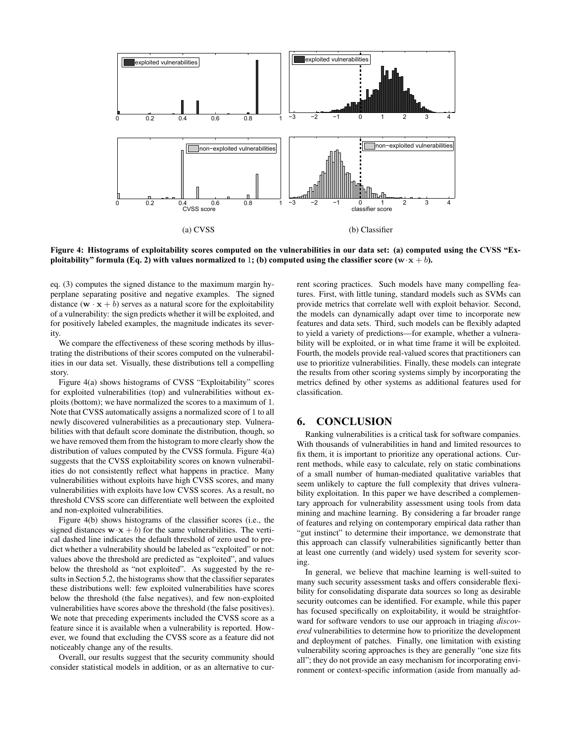

Figure 4: Histograms of exploitability scores computed on the vulnerabilities in our data set: (a) computed using the CVSS "Exploitability" formula (Eq. 2) with values normalized to 1; (b) computed using the classifier score  $(w \cdot x + b)$ .

eq. (3) computes the signed distance to the maximum margin hyperplane separating positive and negative examples. The signed distance  $(\mathbf{w} \cdot \mathbf{x} + b)$  serves as a natural score for the exploitability of a vulnerability: the sign predicts whether it will be exploited, and for positively labeled examples, the magnitude indicates its severity.

We compare the effectiveness of these scoring methods by illustrating the distributions of their scores computed on the vulnerabilities in our data set. Visually, these distributions tell a compelling story.

Figure 4(a) shows histograms of CVSS "Exploitability" scores for exploited vulnerabilities (top) and vulnerabilities without exploits (bottom); we have normalized the scores to a maximum of 1. Note that CVSS automatically assigns a normalized score of 1 to all newly discovered vulnerabilities as a precautionary step. Vulnerabilities with that default score dominate the distribution, though, so we have removed them from the histogram to more clearly show the distribution of values computed by the CVSS formula. Figure 4(a) suggests that the CVSS exploitability scores on known vulnerabilities do not consistently reflect what happens in practice. Many vulnerabilities without exploits have high CVSS scores, and many vulnerabilities with exploits have low CVSS scores. As a result, no threshold CVSS score can differentiate well between the exploited and non-exploited vulnerabilities.

Figure 4(b) shows histograms of the classifier scores (i.e., the signed distances  $\mathbf{w} \cdot \mathbf{x} + b$  for the same vulnerabilities. The vertical dashed line indicates the default threshold of zero used to predict whether a vulnerability should be labeled as "exploited" or not: values above the threshold are predicted as "exploited", and values below the threshold as "not exploited". As suggested by the results in Section 5.2, the histograms show that the classifier separates these distributions well: few exploited vulnerabilities have scores below the threshold (the false negatives), and few non-exploited vulnerabilities have scores above the threshold (the false positives). We note that preceding experiments included the CVSS score as a feature since it is available when a vulnerability is reported. However, we found that excluding the CVSS score as a feature did not noticeably change any of the results.

Overall, our results suggest that the security community should consider statistical models in addition, or as an alternative to current scoring practices. Such models have many compelling features. First, with little tuning, standard models such as SVMs can provide metrics that correlate well with exploit behavior. Second, the models can dynamically adapt over time to incorporate new features and data sets. Third, such models can be flexibly adapted to yield a variety of predictions—for example, whether a vulnerability will be exploited, or in what time frame it will be exploited. Fourth, the models provide real-valued scores that practitioners can use to prioritize vulnerabilities. Finally, these models can integrate the results from other scoring systems simply by incorporating the metrics defined by other systems as additional features used for classification.

# **6. CONCLUSION**

Ranking vulnerabilities is a critical task for software companies. With thousands of vulnerabilities in hand and limited resources to fix them, it is important to prioritize any operational actions. Current methods, while easy to calculate, rely on static combinations of a small number of human-mediated qualitative variables that seem unlikely to capture the full complexity that drives vulnerability exploitation. In this paper we have described a complementary approach for vulnerability assessment using tools from data mining and machine learning. By considering a far broader range of features and relying on contemporary empirical data rather than "gut instinct" to determine their importance, we demonstrate that this approach can classify vulnerabilities significantly better than at least one currently (and widely) used system for severity scoring.

In general, we believe that machine learning is well-suited to many such security assessment tasks and offers considerable flexibility for consolidating disparate data sources so long as desirable security outcomes can be identified. For example, while this paper has focused specifically on exploitability, it would be straightforward for software vendors to use our approach in triaging *discovered* vulnerabilities to determine how to prioritize the development and deployment of patches. Finally, one limitation with existing vulnerability scoring approaches is they are generally "one size fits all"; they do not provide an easy mechanism for incorporating environment or context-specific information (aside from manually ad